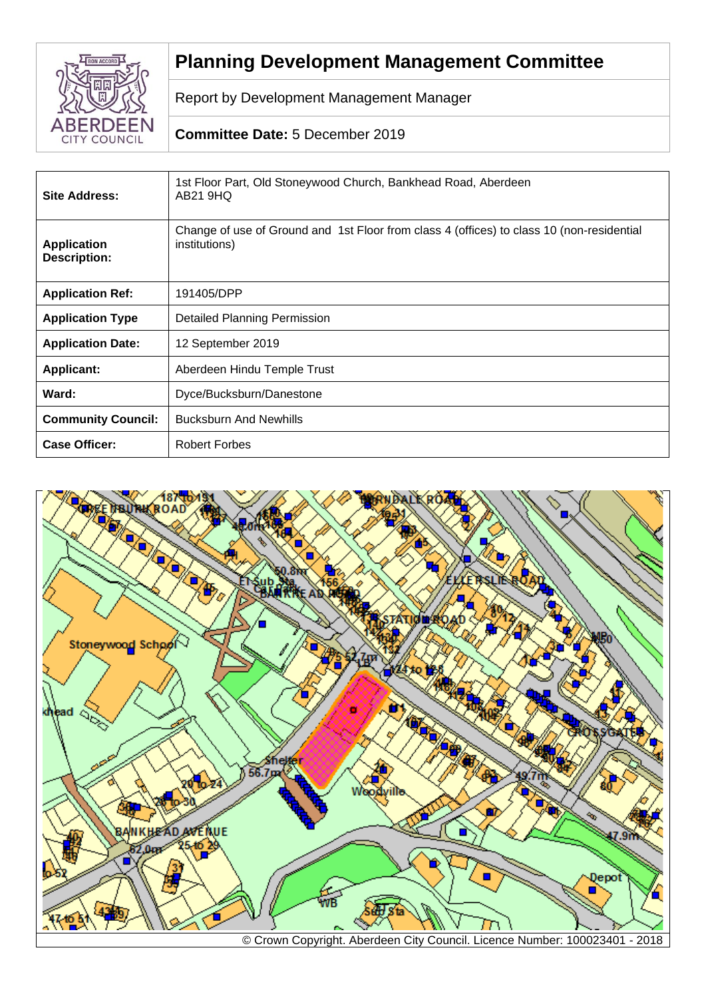

# **Planning Development Management Committee**

Report by Development Management Manager

## **Committee Date:** 5 December 2019

| <b>Site Address:</b>                      | 1st Floor Part, Old Stoneywood Church, Bankhead Road, Aberdeen<br>AB21 9HQ                                 |  |
|-------------------------------------------|------------------------------------------------------------------------------------------------------------|--|
| <b>Application</b><br><b>Description:</b> | Change of use of Ground and 1st Floor from class 4 (offices) to class 10 (non-residential<br>institutions) |  |
| <b>Application Ref:</b>                   | 191405/DPP                                                                                                 |  |
| <b>Application Type</b>                   | <b>Detailed Planning Permission</b>                                                                        |  |
| <b>Application Date:</b>                  | 12 September 2019                                                                                          |  |
| <b>Applicant:</b>                         | Aberdeen Hindu Temple Trust                                                                                |  |
| Ward:                                     | Dyce/Bucksburn/Danestone                                                                                   |  |
| <b>Community Council:</b>                 | <b>Bucksburn And Newhills</b>                                                                              |  |
| <b>Case Officer:</b>                      | <b>Robert Forbes</b>                                                                                       |  |

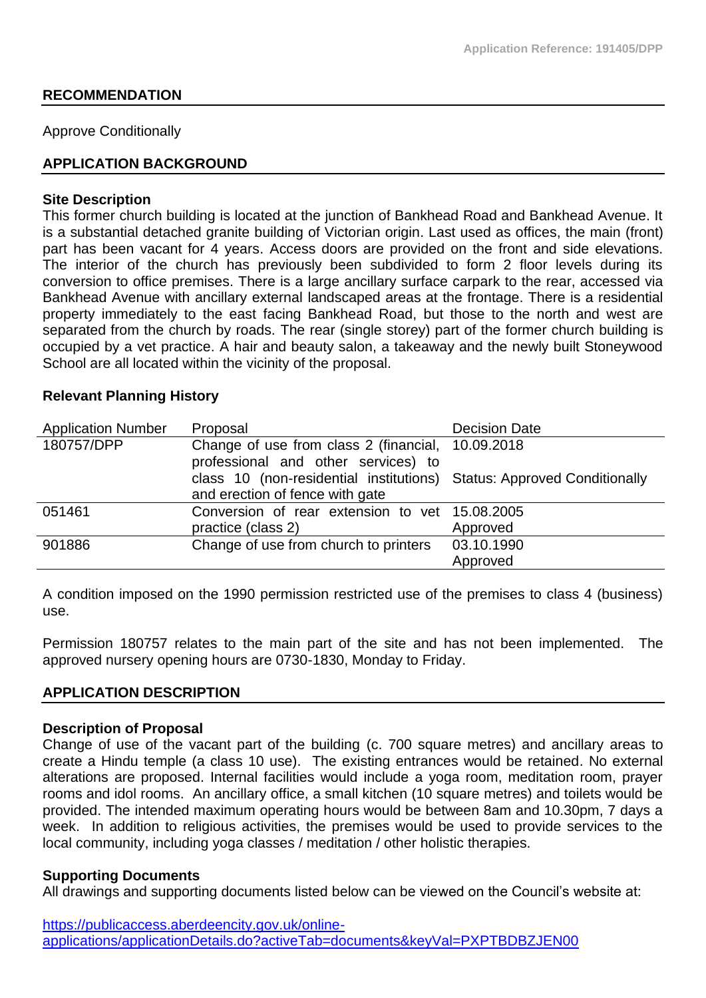## **RECOMMENDATION**

Approve Conditionally

## **APPLICATION BACKGROUND**

#### **Site Description**

This former church building is located at the junction of Bankhead Road and Bankhead Avenue. It is a substantial detached granite building of Victorian origin. Last used as offices, the main (front) part has been vacant for 4 years. Access doors are provided on the front and side elevations. The interior of the church has previously been subdivided to form 2 floor levels during its conversion to office premises. There is a large ancillary surface carpark to the rear, accessed via Bankhead Avenue with ancillary external landscaped areas at the frontage. There is a residential property immediately to the east facing Bankhead Road, but those to the north and west are separated from the church by roads. The rear (single storey) part of the former church building is occupied by a vet practice. A hair and beauty salon, a takeaway and the newly built Stoneywood School are all located within the vicinity of the proposal.

#### **Relevant Planning History**

| <b>Application Number</b> | Proposal                                                                                  | <b>Decision Date</b> |
|---------------------------|-------------------------------------------------------------------------------------------|----------------------|
| 180757/DPP                | Change of use from class 2 (financial, 10.09.2018)<br>professional and other services) to |                      |
|                           | class 10 (non-residential institutions) Status: Approved Conditionally                    |                      |
|                           | and erection of fence with gate                                                           |                      |
| 051461                    | Conversion of rear extension to vet 15.08.2005                                            |                      |
|                           | practice (class 2)                                                                        | Approved             |
| 901886                    | Change of use from church to printers                                                     | 03.10.1990           |
|                           |                                                                                           | Approved             |

A condition imposed on the 1990 permission restricted use of the premises to class 4 (business) use.

Permission 180757 relates to the main part of the site and has not been implemented. The approved nursery opening hours are 0730-1830, Monday to Friday.

## **APPLICATION DESCRIPTION**

#### **Description of Proposal**

Change of use of the vacant part of the building (c. 700 square metres) and ancillary areas to create a Hindu temple (a class 10 use). The existing entrances would be retained. No external alterations are proposed. Internal facilities would include a yoga room, meditation room, prayer rooms and idol rooms. An ancillary office, a small kitchen (10 square metres) and toilets would be provided. The intended maximum operating hours would be between 8am and 10.30pm, 7 days a week. In addition to religious activities, the premises would be used to provide services to the local community, including yoga classes / meditation / other holistic therapies.

#### **Supporting Documents**

All drawings and supporting documents listed below can be viewed on the Council's website at:

[https://publicaccess.aberdeencity.gov.uk/online](https://publicaccess.aberdeencity.gov.uk/online-applications/applicationDetails.do?activeTab=documents&keyVal=PXPTBDBZJEN00)[applications/applicationDetails.do?activeTab=documents&keyVal=PXPTBDBZJEN00](https://publicaccess.aberdeencity.gov.uk/online-applications/applicationDetails.do?activeTab=documents&keyVal=PXPTBDBZJEN00)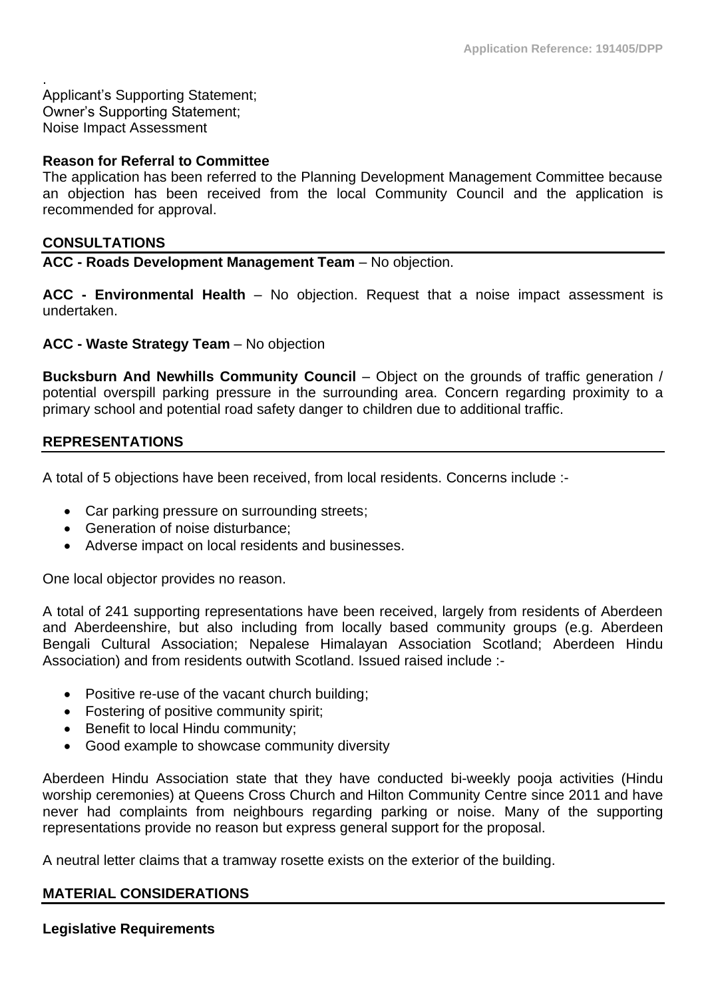. Applicant's Supporting Statement; Owner's Supporting Statement; Noise Impact Assessment

#### **Reason for Referral to Committee**

The application has been referred to the Planning Development Management Committee because an objection has been received from the local Community Council and the application is recommended for approval.

#### **CONSULTATIONS**

**ACC - Roads Development Management Team** – No objection.

**ACC - Environmental Health** – No objection. Request that a noise impact assessment is undertaken.

**ACC - Waste Strategy Team** – No objection

**Bucksburn And Newhills Community Council** – Object on the grounds of traffic generation / potential overspill parking pressure in the surrounding area. Concern regarding proximity to a primary school and potential road safety danger to children due to additional traffic.

#### **REPRESENTATIONS**

A total of 5 objections have been received, from local residents. Concerns include :-

- Car parking pressure on surrounding streets;
- Generation of noise disturbance:
- Adverse impact on local residents and businesses.

One local objector provides no reason.

A total of 241 supporting representations have been received, largely from residents of Aberdeen and Aberdeenshire, but also including from locally based community groups (e.g. Aberdeen Bengali Cultural Association; Nepalese Himalayan Association Scotland; Aberdeen Hindu Association) and from residents outwith Scotland. Issued raised include :-

- Positive re-use of the vacant church building;
- Fostering of positive community spirit;
- Benefit to local Hindu community;
- Good example to showcase community diversity

Aberdeen Hindu Association state that they have conducted bi-weekly pooja activities (Hindu worship ceremonies) at Queens Cross Church and Hilton Community Centre since 2011 and have never had complaints from neighbours regarding parking or noise. Many of the supporting representations provide no reason but express general support for the proposal.

A neutral letter claims that a tramway rosette exists on the exterior of the building.

#### **MATERIAL CONSIDERATIONS**

## **Legislative Requirements**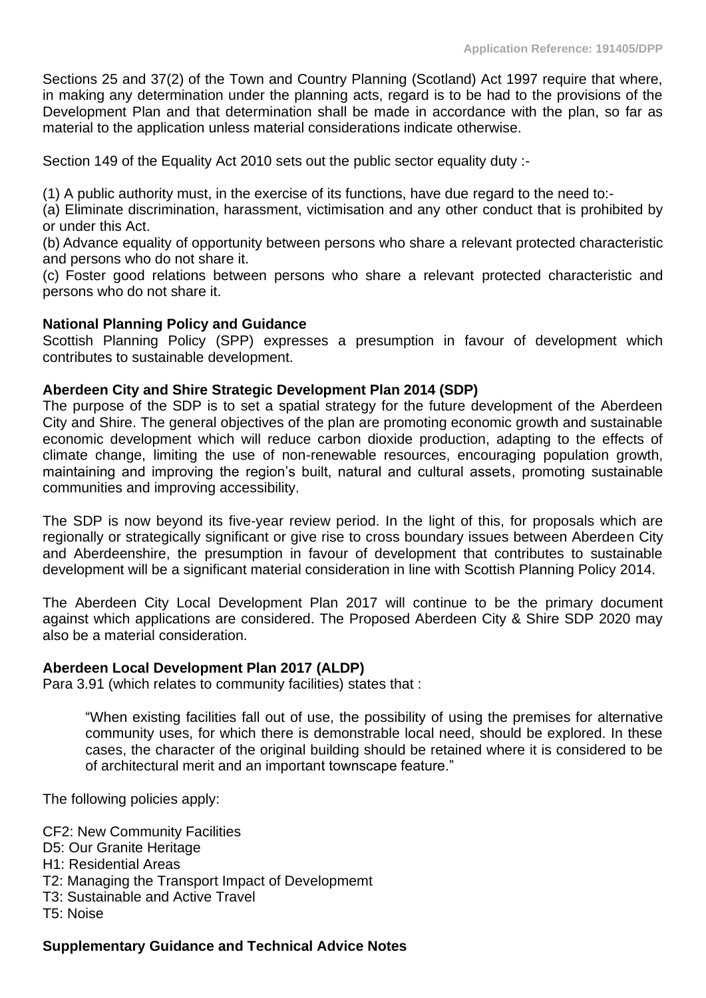Sections 25 and 37(2) of the Town and Country Planning (Scotland) Act 1997 require that where, in making any determination under the planning acts, regard is to be had to the provisions of the Development Plan and that determination shall be made in accordance with the plan, so far as material to the application unless material considerations indicate otherwise.

Section 149 of the Equality Act 2010 sets out the public sector equality duty :-

(1) A public authority must, in the exercise of its functions, have due regard to the need to:-

(a) Eliminate discrimination, harassment, victimisation and any other conduct that is prohibited by or under this Act.

(b) Advance equality of opportunity between persons who share a relevant protected characteristic and persons who do not share it.

(c) Foster good relations between persons who share a relevant protected characteristic and persons who do not share it.

## **National Planning Policy and Guidance**

Scottish Planning Policy (SPP) expresses a presumption in favour of development which contributes to sustainable development.

#### **Aberdeen City and Shire Strategic Development Plan 2014 (SDP)**

The purpose of the SDP is to set a spatial strategy for the future development of the Aberdeen City and Shire. The general objectives of the plan are promoting economic growth and sustainable economic development which will reduce carbon dioxide production, adapting to the effects of climate change, limiting the use of non-renewable resources, encouraging population growth, maintaining and improving the region's built, natural and cultural assets, promoting sustainable communities and improving accessibility.

The SDP is now beyond its five-year review period. In the light of this, for proposals which are regionally or strategically significant or give rise to cross boundary issues between Aberdeen City and Aberdeenshire, the presumption in favour of development that contributes to sustainable development will be a significant material consideration in line with Scottish Planning Policy 2014.

The Aberdeen City Local Development Plan 2017 will continue to be the primary document against which applications are considered. The Proposed Aberdeen City & Shire SDP 2020 may also be a material consideration.

#### **Aberdeen Local Development Plan 2017 (ALDP)**

Para 3.91 (which relates to community facilities) states that :

"When existing facilities fall out of use, the possibility of using the premises for alternative community uses, for which there is demonstrable local need, should be explored. In these cases, the character of the original building should be retained where it is considered to be of architectural merit and an important townscape feature."

The following policies apply:

CF2: New Community Facilities

- D5: Our Granite Heritage
- H1: Residential Areas
- T2: Managing the Transport Impact of Developmemt
- T3: Sustainable and Active Travel

T5: Noise

#### **Supplementary Guidance and Technical Advice Notes**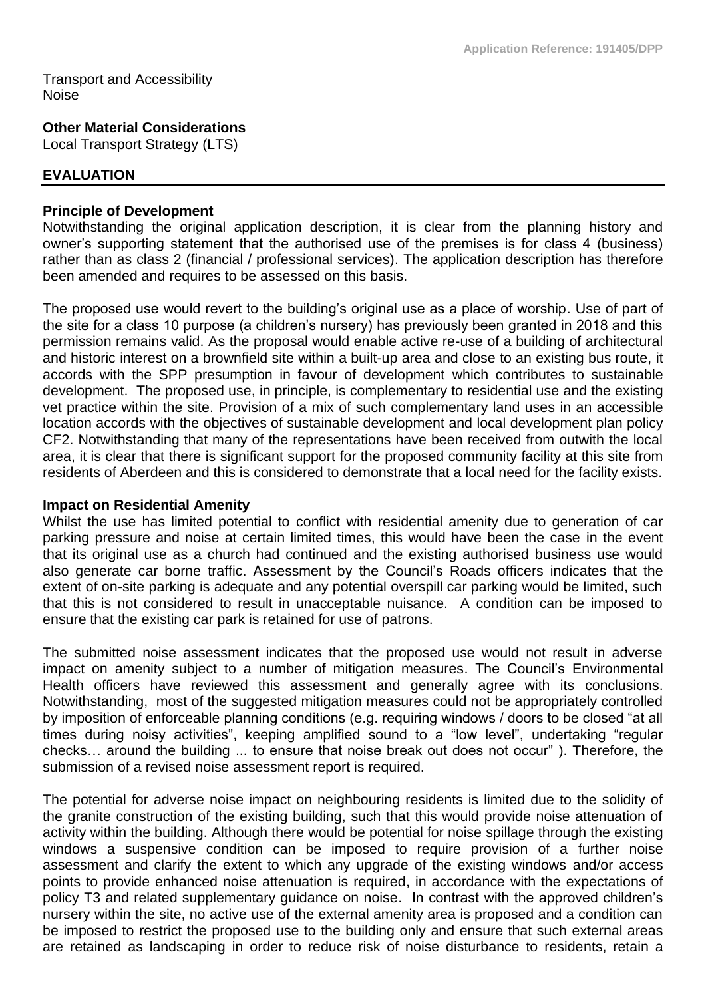Transport and Accessibility Noise

**Other Material Considerations**

Local Transport Strategy (LTS)

## **EVALUATION**

### **Principle of Development**

Notwithstanding the original application description, it is clear from the planning history and owner's supporting statement that the authorised use of the premises is for class 4 (business) rather than as class 2 (financial / professional services). The application description has therefore been amended and requires to be assessed on this basis.

The proposed use would revert to the building's original use as a place of worship. Use of part of the site for a class 10 purpose (a children's nursery) has previously been granted in 2018 and this permission remains valid. As the proposal would enable active re-use of a building of architectural and historic interest on a brownfield site within a built-up area and close to an existing bus route, it accords with the SPP presumption in favour of development which contributes to sustainable development. The proposed use, in principle, is complementary to residential use and the existing vet practice within the site. Provision of a mix of such complementary land uses in an accessible location accords with the objectives of sustainable development and local development plan policy CF2. Notwithstanding that many of the representations have been received from outwith the local area, it is clear that there is significant support for the proposed community facility at this site from residents of Aberdeen and this is considered to demonstrate that a local need for the facility exists.

#### **Impact on Residential Amenity**

Whilst the use has limited potential to conflict with residential amenity due to generation of car parking pressure and noise at certain limited times, this would have been the case in the event that its original use as a church had continued and the existing authorised business use would also generate car borne traffic. Assessment by the Council's Roads officers indicates that the extent of on-site parking is adequate and any potential overspill car parking would be limited, such that this is not considered to result in unacceptable nuisance. A condition can be imposed to ensure that the existing car park is retained for use of patrons.

The submitted noise assessment indicates that the proposed use would not result in adverse impact on amenity subject to a number of mitigation measures. The Council's Environmental Health officers have reviewed this assessment and generally agree with its conclusions. Notwithstanding, most of the suggested mitigation measures could not be appropriately controlled by imposition of enforceable planning conditions (e.g. requiring windows / doors to be closed "at all times during noisy activities", keeping amplified sound to a "low level", undertaking "regular checks… around the building ... to ensure that noise break out does not occur" ). Therefore, the submission of a revised noise assessment report is required.

The potential for adverse noise impact on neighbouring residents is limited due to the solidity of the granite construction of the existing building, such that this would provide noise attenuation of activity within the building. Although there would be potential for noise spillage through the existing windows a suspensive condition can be imposed to require provision of a further noise assessment and clarify the extent to which any upgrade of the existing windows and/or access points to provide enhanced noise attenuation is required, in accordance with the expectations of policy T3 and related supplementary guidance on noise. In contrast with the approved children's nursery within the site, no active use of the external amenity area is proposed and a condition can be imposed to restrict the proposed use to the building only and ensure that such external areas are retained as landscaping in order to reduce risk of noise disturbance to residents, retain a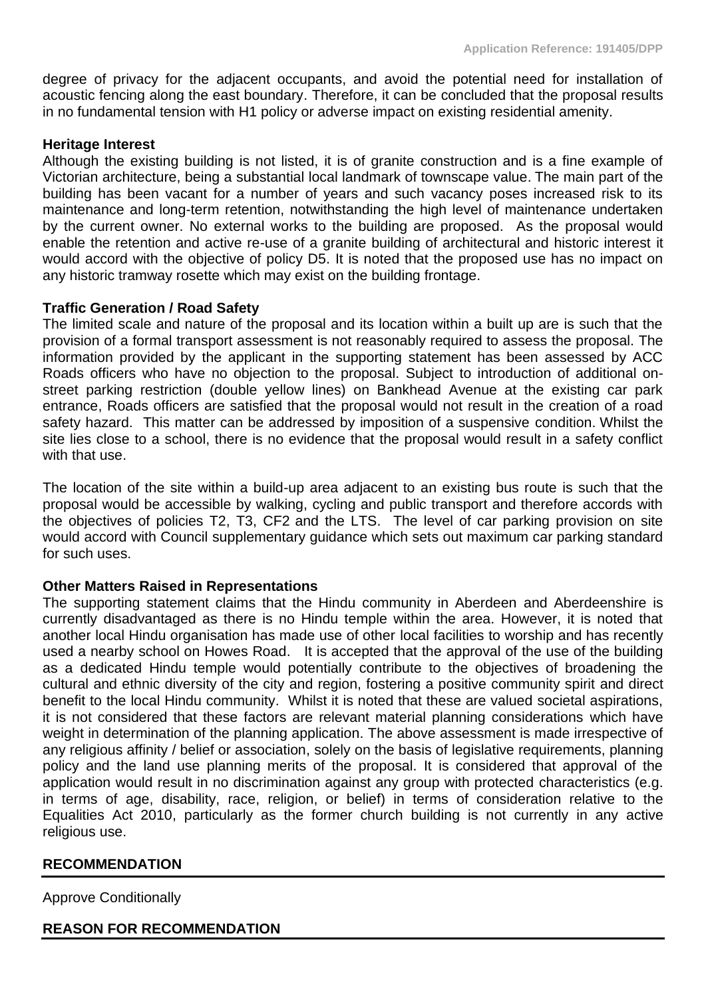degree of privacy for the adjacent occupants, and avoid the potential need for installation of acoustic fencing along the east boundary. Therefore, it can be concluded that the proposal results in no fundamental tension with H1 policy or adverse impact on existing residential amenity.

#### **Heritage Interest**

Although the existing building is not listed, it is of granite construction and is a fine example of Victorian architecture, being a substantial local landmark of townscape value. The main part of the building has been vacant for a number of years and such vacancy poses increased risk to its maintenance and long-term retention, notwithstanding the high level of maintenance undertaken by the current owner. No external works to the building are proposed. As the proposal would enable the retention and active re-use of a granite building of architectural and historic interest it would accord with the objective of policy D5. It is noted that the proposed use has no impact on any historic tramway rosette which may exist on the building frontage.

## **Traffic Generation / Road Safety**

The limited scale and nature of the proposal and its location within a built up are is such that the provision of a formal transport assessment is not reasonably required to assess the proposal. The information provided by the applicant in the supporting statement has been assessed by ACC Roads officers who have no objection to the proposal. Subject to introduction of additional onstreet parking restriction (double yellow lines) on Bankhead Avenue at the existing car park entrance, Roads officers are satisfied that the proposal would not result in the creation of a road safety hazard. This matter can be addressed by imposition of a suspensive condition. Whilst the site lies close to a school, there is no evidence that the proposal would result in a safety conflict with that use.

The location of the site within a build-up area adjacent to an existing bus route is such that the proposal would be accessible by walking, cycling and public transport and therefore accords with the objectives of policies T2, T3, CF2 and the LTS. The level of car parking provision on site would accord with Council supplementary guidance which sets out maximum car parking standard for such uses.

## **Other Matters Raised in Representations**

The supporting statement claims that the Hindu community in Aberdeen and Aberdeenshire is currently disadvantaged as there is no Hindu temple within the area. However, it is noted that another local Hindu organisation has made use of other local facilities to worship and has recently used a nearby school on Howes Road. It is accepted that the approval of the use of the building as a dedicated Hindu temple would potentially contribute to the objectives of broadening the cultural and ethnic diversity of the city and region, fostering a positive community spirit and direct benefit to the local Hindu community. Whilst it is noted that these are valued societal aspirations, it is not considered that these factors are relevant material planning considerations which have weight in determination of the planning application. The above assessment is made irrespective of any religious affinity / belief or association, solely on the basis of legislative requirements, planning policy and the land use planning merits of the proposal. It is considered that approval of the application would result in no discrimination against any group with protected characteristics (e.g. in terms of age, disability, race, religion, or belief) in terms of consideration relative to the Equalities Act 2010, particularly as the former church building is not currently in any active religious use.

## **RECOMMENDATION**

Approve Conditionally

## **REASON FOR RECOMMENDATION**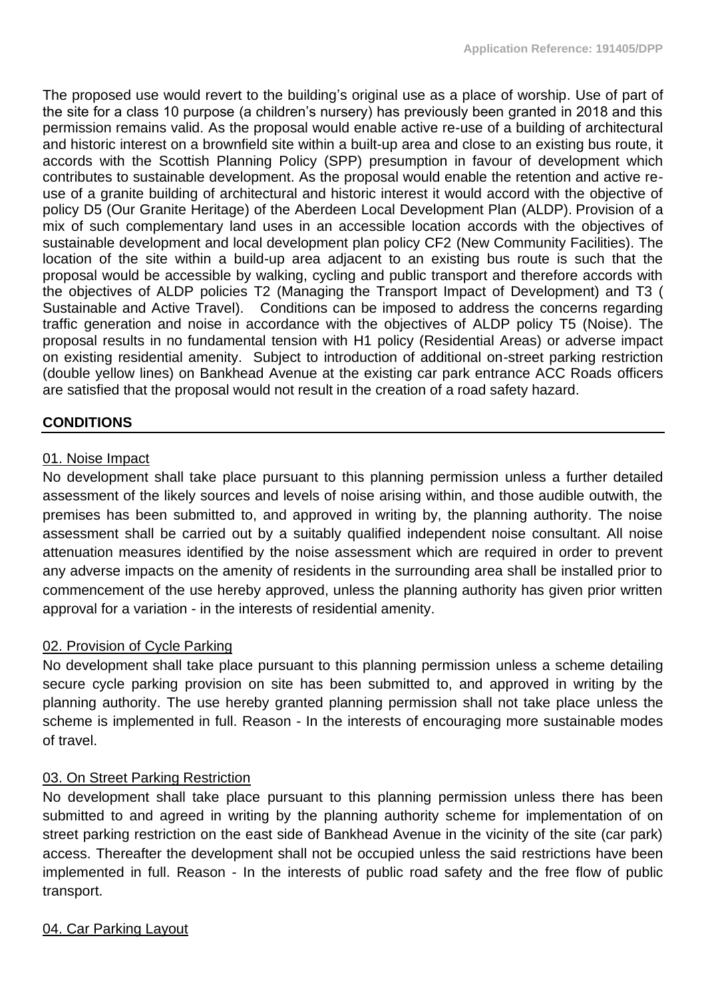The proposed use would revert to the building's original use as a place of worship. Use of part of the site for a class 10 purpose (a children's nursery) has previously been granted in 2018 and this permission remains valid. As the proposal would enable active re-use of a building of architectural and historic interest on a brownfield site within a built-up area and close to an existing bus route, it accords with the Scottish Planning Policy (SPP) presumption in favour of development which contributes to sustainable development. As the proposal would enable the retention and active reuse of a granite building of architectural and historic interest it would accord with the objective of policy D5 (Our Granite Heritage) of the Aberdeen Local Development Plan (ALDP). Provision of a mix of such complementary land uses in an accessible location accords with the objectives of sustainable development and local development plan policy CF2 (New Community Facilities). The location of the site within a build-up area adjacent to an existing bus route is such that the proposal would be accessible by walking, cycling and public transport and therefore accords with the objectives of ALDP policies T2 (Managing the Transport Impact of Development) and T3 ( Sustainable and Active Travel). Conditions can be imposed to address the concerns regarding traffic generation and noise in accordance with the objectives of ALDP policy T5 (Noise). The proposal results in no fundamental tension with H1 policy (Residential Areas) or adverse impact on existing residential amenity. Subject to introduction of additional on-street parking restriction (double yellow lines) on Bankhead Avenue at the existing car park entrance ACC Roads officers are satisfied that the proposal would not result in the creation of a road safety hazard.

## **CONDITIONS**

#### 01. Noise Impact

No development shall take place pursuant to this planning permission unless a further detailed assessment of the likely sources and levels of noise arising within, and those audible outwith, the premises has been submitted to, and approved in writing by, the planning authority. The noise assessment shall be carried out by a suitably qualified independent noise consultant. All noise attenuation measures identified by the noise assessment which are required in order to prevent any adverse impacts on the amenity of residents in the surrounding area shall be installed prior to commencement of the use hereby approved, unless the planning authority has given prior written approval for a variation - in the interests of residential amenity.

#### 02. Provision of Cycle Parking

No development shall take place pursuant to this planning permission unless a scheme detailing secure cycle parking provision on site has been submitted to, and approved in writing by the planning authority. The use hereby granted planning permission shall not take place unless the scheme is implemented in full. Reason - In the interests of encouraging more sustainable modes of travel.

#### 03. On Street Parking Restriction

No development shall take place pursuant to this planning permission unless there has been submitted to and agreed in writing by the planning authority scheme for implementation of on street parking restriction on the east side of Bankhead Avenue in the vicinity of the site (car park) access. Thereafter the development shall not be occupied unless the said restrictions have been implemented in full. Reason - In the interests of public road safety and the free flow of public transport.

#### 04. Car Parking Layout